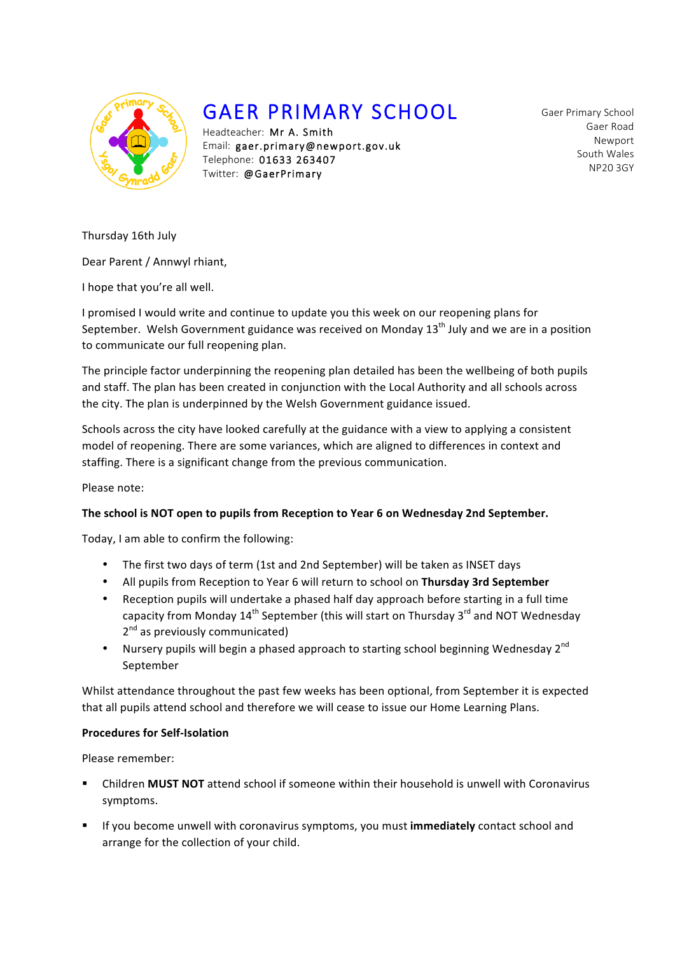

# GAER PRIMARY SCHOOL

Headteacher: Mr A. Smith Email: gaer.primary@newport.gov.uk Telephone: 01633 263407 Twitter: @GaerPrimary

Gaer Primary School Gaer Road Newport South Wales NP20 3GY

Thursday 16th July

Dear Parent / Annwyl rhiant,

I hope that you're all well.

I promised I would write and continue to update you this week on our reopening plans for September. Welsh Government guidance was received on Monday  $13<sup>th</sup>$  July and we are in a position to communicate our full reopening plan.

The principle factor underpinning the reopening plan detailed has been the wellbeing of both pupils and staff. The plan has been created in conjunction with the Local Authority and all schools across the city. The plan is underpinned by the Welsh Government guidance issued.

Schools across the city have looked carefully at the guidance with a view to applying a consistent model of reopening. There are some variances, which are aligned to differences in context and staffing. There is a significant change from the previous communication.

Please note:

# The school is NOT open to pupils from Reception to Year 6 on Wednesday 2nd September.

Today, I am able to confirm the following:

- The first two days of term (1st and 2nd September) will be taken as INSET days
- All pupils from Reception to Year 6 will return to school on Thursday 3rd September
- Reception pupils will undertake a phased half day approach before starting in a full time capacity from Monday  $14<sup>th</sup>$  September (this will start on Thursday  $3<sup>rd</sup>$  and NOT Wednesday  $2<sup>nd</sup>$  as previously communicated)
- Nursery pupils will begin a phased approach to starting school beginning Wednesday  $2^{nd}$ September

Whilst attendance throughout the past few weeks has been optional, from September it is expected that all pupils attend school and therefore we will cease to issue our Home Learning Plans.

## **Procedures for Self-Isolation**

Please remember:

- Children **MUST NOT** attend school if someone within their household is unwell with Coronavirus symptoms.
- **EXECOM** If you become unwell with coronavirus symptoms, you must **immediately** contact school and arrange for the collection of your child.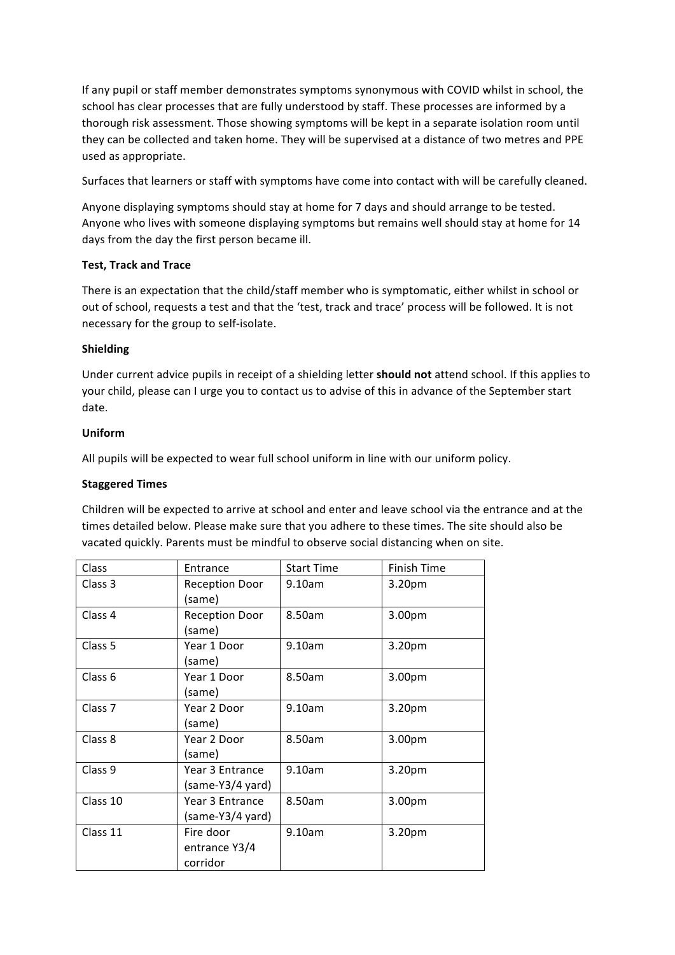If any pupil or staff member demonstrates symptoms synonymous with COVID whilst in school, the school has clear processes that are fully understood by staff. These processes are informed by a thorough risk assessment. Those showing symptoms will be kept in a separate isolation room until they can be collected and taken home. They will be supervised at a distance of two metres and PPE used as appropriate.

Surfaces that learners or staff with symptoms have come into contact with will be carefully cleaned.

Anyone displaying symptoms should stay at home for 7 days and should arrange to be tested. Anyone who lives with someone displaying symptoms but remains well should stay at home for 14 days from the day the first person became ill.

# **Test, Track and Trace**

There is an expectation that the child/staff member who is symptomatic, either whilst in school or out of school, requests a test and that the 'test, track and trace' process will be followed. It is not necessary for the group to self-isolate.

# **Shielding**

Under current advice pupils in receipt of a shielding letter **should not** attend school. If this applies to your child, please can I urge you to contact us to advise of this in advance of the September start date. 

# **Uniform**

All pupils will be expected to wear full school uniform in line with our uniform policy.

## **Staggered Times**

Children will be expected to arrive at school and enter and leave school via the entrance and at the times detailed below. Please make sure that you adhere to these times. The site should also be vacated quickly. Parents must be mindful to observe social distancing when on site.

| Class              | Entrance                               | <b>Start Time</b> | Finish Time        |
|--------------------|----------------------------------------|-------------------|--------------------|
| Class 3            | <b>Reception Door</b><br>(same)        | 9.10am            | 3.20 <sub>pm</sub> |
| Class 4            | <b>Reception Door</b><br>(same)        | 8.50am            | 3.00pm             |
| Class 5            | Year 1 Door<br>(same)                  | 9.10am            | 3.20pm             |
| Class <sub>6</sub> | Year 1 Door<br>(same)                  | 8.50am            | 3.00pm             |
| Class <sub>7</sub> | Year 2 Door<br>(same)                  | 9.10am            | 3.20pm             |
| Class 8            | Year 2 Door<br>(same)                  | 8.50am            | 3.00pm             |
| Class 9            | Year 3 Entrance<br>(same-Y3/4 yard)    | 9.10am            | 3.20pm             |
| Class 10           | Year 3 Entrance<br>(same-Y3/4 yard)    | 8.50am            | 3.00pm             |
| Class 11           | Fire door<br>entrance Y3/4<br>corridor | 9.10am            | 3.20pm             |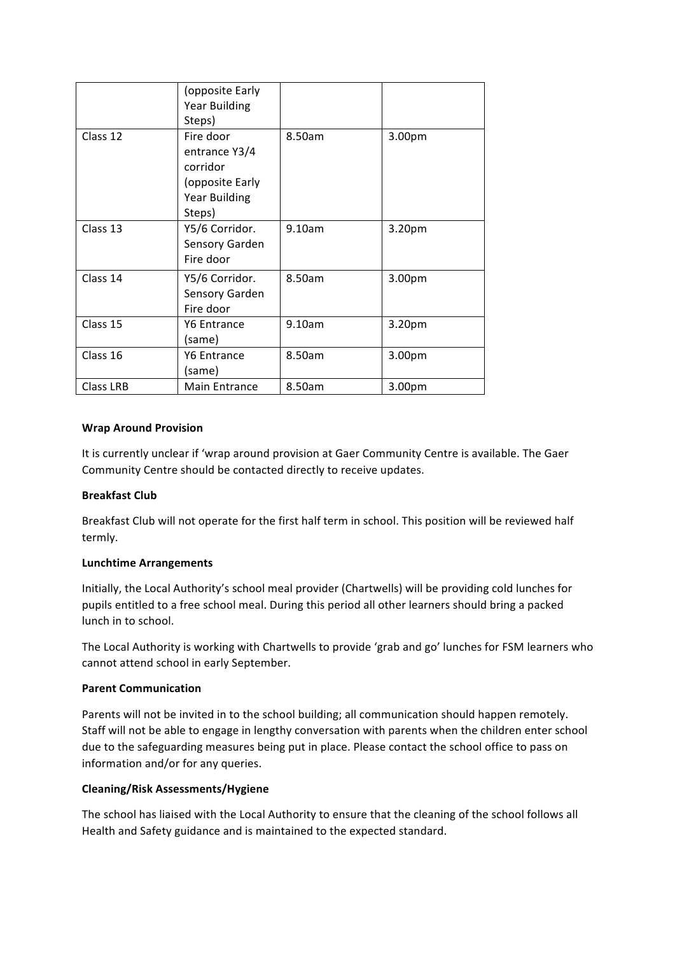|           | (opposite Early<br><b>Year Building</b>                                                     |        |        |
|-----------|---------------------------------------------------------------------------------------------|--------|--------|
|           | Steps)                                                                                      |        |        |
| Class 12  | Fire door<br>entrance Y3/4<br>corridor<br>(opposite Early<br><b>Year Building</b><br>Steps) | 8.50am | 3.00pm |
| Class 13  | Y5/6 Corridor.<br>Sensory Garden<br>Fire door                                               | 9.10am | 3.20pm |
| Class 14  | Y5/6 Corridor.<br>Sensory Garden<br>Fire door                                               | 8.50am | 3.00pm |
| Class 15  | Y6 Entrance<br>(same)                                                                       | 9.10am | 3.20pm |
| Class 16  | Y6 Entrance<br>(same)                                                                       | 8.50am | 3.00pm |
| Class LRB | <b>Main Entrance</b>                                                                        | 8.50am | 3.00pm |

# **Wrap Around Provision**

It is currently unclear if 'wrap around provision at Gaer Community Centre is available. The Gaer Community Centre should be contacted directly to receive updates.

## **Breakfast Club**

Breakfast Club will not operate for the first half term in school. This position will be reviewed half termly.

## **Lunchtime Arrangements**

Initially, the Local Authority's school meal provider (Chartwells) will be providing cold lunches for pupils entitled to a free school meal. During this period all other learners should bring a packed lunch in to school.

The Local Authority is working with Chartwells to provide 'grab and go' lunches for FSM learners who cannot attend school in early September.

## **Parent Communication**

Parents will not be invited in to the school building; all communication should happen remotely. Staff will not be able to engage in lengthy conversation with parents when the children enter school due to the safeguarding measures being put in place. Please contact the school office to pass on information and/or for any queries.

## **Cleaning/Risk Assessments/Hygiene**

The school has liaised with the Local Authority to ensure that the cleaning of the school follows all Health and Safety guidance and is maintained to the expected standard.